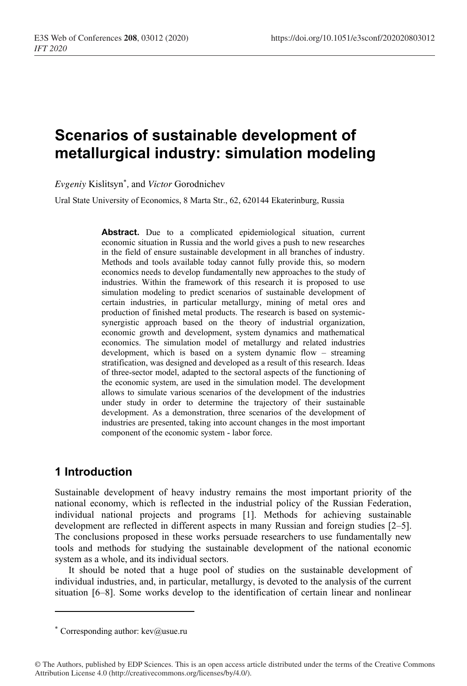# **Scenarios of sustainable development of metallurgical industry: simulation modeling**

*Evgeniy* Kislitsyn\* *,* and *Victor* Gorodnichev

Ural State University of Economics, 8 Marta Str., 62, 620144 Ekaterinburg, Russia

**Abstract.** Due to a complicated epidemiological situation, current economic situation in Russia and the world gives a push to new researches in the field of ensure sustainable development in all branches of industry. Methods and tools available today cannot fully provide this, so modern economics needs to develop fundamentally new approaches to the study of industries. Within the framework of this research it is proposed to use simulation modeling to predict scenarios of sustainable development of certain industries, in particular metallurgy, mining of metal ores and production of finished metal products. The research is based on systemicsynergistic approach based on the theory of industrial organization, economic growth and development, system dynamics and mathematical economics. The simulation model of metallurgy and related industries development, which is based on a system dynamic flow – streaming stratification, was designed and developed as a result of this research. Ideas of three-sector model, adapted to the sectoral aspects of the functioning of the economic system, are used in the simulation model. The development allows to simulate various scenarios of the development of the industries under study in order to determine the trajectory of their sustainable development. As a demonstration, three scenarios of the development of industries are presented, taking into account changes in the most important component of the economic system - labor force.

# **1 Introduction**

Sustainable development of heavy industry remains the most important priority of the national economy, which is reflected in the industrial policy of the Russian Federation, individual national projects and programs [1]. Methods for achieving sustainable development are reflected in different aspects in many Russian and foreign studies [2–5]. The conclusions proposed in these works persuade researchers to use fundamentally new tools and methods for studying the sustainable development of the national economic system as a whole, and its individual sectors.

It should be noted that a huge pool of studies on the sustainable development of individual industries, and, in particular, metallurgy, is devoted to the analysis of the current situation [6–8]. Some works develop to the identification of certain linear and nonlinear

<sup>\*</sup> Corresponding author:  $kev@$ usue.ru

<sup>©</sup> The Authors, published by EDP Sciences. This is an open access article distributed under the terms of the Creative Commons Attribution License 4.0 (http://creativecommons.org/licenses/by/4.0/).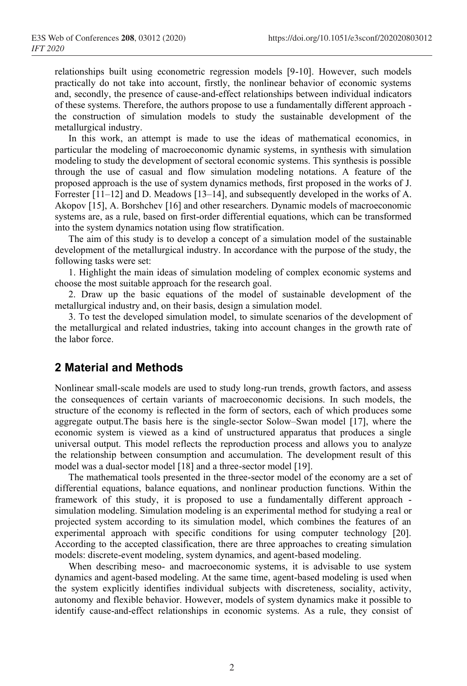relationships built using econometric regression models [9-10]. However, such models practically do not take into account, firstly, the nonlinear behavior of economic systems and, secondly, the presence of cause-and-effect relationships between individual indicators of these systems. Therefore, the authors propose to use a fundamentally different approach the construction of simulation models to study the sustainable development of the metallurgical industry.

In this work, an attempt is made to use the ideas of mathematical economics, in particular the modeling of macroeconomic dynamic systems, in synthesis with simulation modeling to study the development of sectoral economic systems. This synthesis is possible through the use of casual and flow simulation modeling notations. A feature of the proposed approach is the use of system dynamics methods, first proposed in the works of J. Forrester [11–12] and D. Meadows [13–14], and subsequently developed in the works of A. Akopov [15], A. Borshchev [16] and other researchers. Dynamic models of macroeconomic systems are, as a rule, based on first-order differential equations, which can be transformed into the system dynamics notation using flow stratification.

The aim of this study is to develop a concept of a simulation model of the sustainable development of the metallurgical industry. In accordance with the purpose of the study, the following tasks were set:

1. Highlight the main ideas of simulation modeling of complex economic systems and choose the most suitable approach for the research goal.

2. Draw up the basic equations of the model of sustainable development of the metallurgical industry and, on their basis, design a simulation model.

3. To test the developed simulation model, to simulate scenarios of the development of the metallurgical and related industries, taking into account changes in the growth rate of the labor force.

# **2 Material and Methods**

Nonlinear small-scale models are used to study long-run trends, growth factors, and assess the consequences of certain variants of macroeconomic decisions. In such models, the structure of the economy is reflected in the form of sectors, each of which produces some aggregate output.The basis here is the single-sector Solow–Swan model [17], where the economic system is viewed as a kind of unstructured apparatus that produces a single universal output. This model reflects the reproduction process and allows you to analyze the relationship between consumption and accumulation. The development result of this model was a dual-sector model [18] and a three-sector model [19].

The mathematical tools presented in the three-sector model of the economy are a set of differential equations, balance equations, and nonlinear production functions. Within the framework of this study, it is proposed to use a fundamentally different approach simulation modeling. Simulation modeling is an experimental method for studying a real or projected system according to its simulation model, which combines the features of an experimental approach with specific conditions for using computer technology [20]. According to the accepted classification, there are three approaches to creating simulation models: discrete-event modeling, system dynamics, and agent-based modeling.

When describing meso- and macroeconomic systems, it is advisable to use system dynamics and agent-based modeling. At the same time, agent-based modeling is used when the system explicitly identifies individual subjects with discreteness, sociality, activity, autonomy and flexible behavior. However, models of system dynamics make it possible to identify cause-and-effect relationships in economic systems. As a rule, they consist of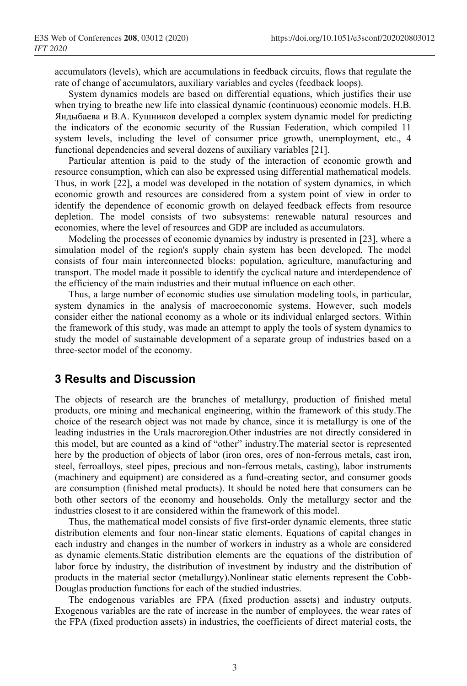accumulators (levels), which are accumulations in feedback circuits, flows that regulate the rate of change of accumulators, auxiliary variables and cycles (feedback loops).

System dynamics models are based on differential equations, which justifies their use when trying to breathe new life into classical dynamic (continuous) economic models. Н.В. Яндыбаева и В.А. Кушников developed a complex system dynamic model for predicting the indicators of the economic security of the Russian Federation, which compiled 11 system levels, including the level of consumer price growth, unemployment, etc., 4 functional dependencies and several dozens of auxiliary variables [21].

Particular attention is paid to the study of the interaction of economic growth and resource consumption, which can also be expressed using differential mathematical models. Thus, in work [22], a model was developed in the notation of system dynamics, in which economic growth and resources are considered from a system point of view in order to identify the dependence of economic growth on delayed feedback effects from resource depletion. The model consists of two subsystems: renewable natural resources and economies, where the level of resources and GDP are included as accumulators.

Modeling the processes of economic dynamics by industry is presented in [23], where a simulation model of the region's supply chain system has been developed. The model consists of four main interconnected blocks: population, agriculture, manufacturing and transport. The model made it possible to identify the cyclical nature and interdependence of the efficiency of the main industries and their mutual influence on each other.

Thus, a large number of economic studies use simulation modeling tools, in particular, system dynamics in the analysis of macroeconomic systems. However, such models consider either the national economy as a whole or its individual enlarged sectors. Within the framework of this study, was made an attempt to apply the tools of system dynamics to study the model of sustainable development of a separate group of industries based on a three-sector model of the economy.

### **3 Results and Discussion**

The objects of research are the branches of metallurgy, production of finished metal products, ore mining and mechanical engineering, within the framework of this study.The choice of the research object was not made by chance, since it is metallurgy is one of the leading industries in the Urals macroregion.Other industries are not directly considered in this model, but are counted as a kind of "other" industry.The material sector is represented here by the production of objects of labor (iron ores, ores of non-ferrous metals, cast iron, steel, ferroalloys, steel pipes, precious and non-ferrous metals, casting), labor instruments (machinery and equipment) are considered as a fund-creating sector, and consumer goods are consumption (finished metal products). It should be noted here that consumers can be both other sectors of the economy and households. Only the metallurgy sector and the industries closest to it are considered within the framework of this model.

Thus, the mathematical model consists of five first-order dynamic elements, three static distribution elements and four non-linear static elements. Equations of capital changes in each industry and changes in the number of workers in industry as a whole are considered as dynamic elements.Static distribution elements are the equations of the distribution of labor force by industry, the distribution of investment by industry and the distribution of products in the material sector (metallurgy).Nonlinear static elements represent the Cobb-Douglas production functions for each of the studied industries.

The endogenous variables are FPA (fixed production assets) and industry outputs. Exogenous variables are the rate of increase in the number of employees, the wear rates of the FPA (fixed production assets) in industries, the coefficients of direct material costs, the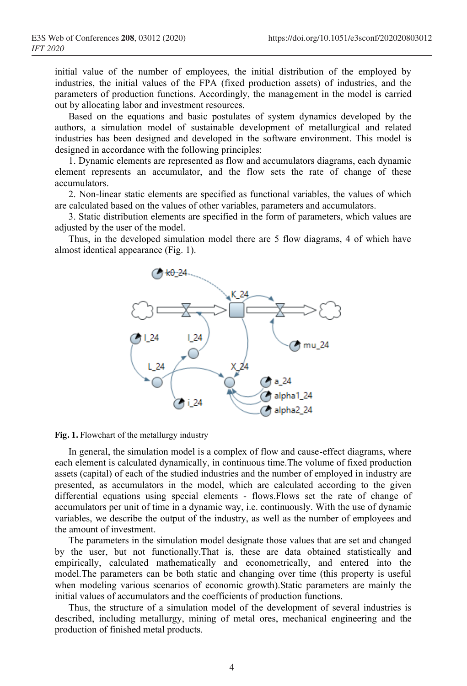initial value of the number of employees, the initial distribution of the employed by industries, the initial values of the FPA (fixed production assets) of industries, and the parameters of production functions. Accordingly, the management in the model is carried out by allocating labor and investment resources.

Based on the equations and basic postulates of system dynamics developed by the authors, a simulation model of sustainable development of metallurgical and related industries has been designed and developed in the software environment. This model is designed in accordance with the following principles:

1. Dynamic elements are represented as flow and accumulators diagrams, each dynamic element represents an accumulator, and the flow sets the rate of change of these accumulators.

2. Non-linear static elements are specified as functional variables, the values of which are calculated based on the values of other variables, parameters and accumulators.

3. Static distribution elements are specified in the form of parameters, which values are adjusted by the user of the model.

Thus, in the developed simulation model there are 5 flow diagrams, 4 of which have almost identical appearance (Fig. 1).



**Fig. 1.** Flowchart of the metallurgy industry

In general, the simulation model is a complex of flow and cause-effect diagrams, where each element is calculated dynamically, in continuous time.The volume of fixed production assets (capital) of each of the studied industries and the number of employed in industry are presented, as accumulators in the model, which are calculated according to the given differential equations using special elements - flows.Flows set the rate of change of accumulators per unit of time in a dynamic way, i.e. continuously. With the use of dynamic variables, we describe the output of the industry, as well as the number of employees and the amount of investment.

The parameters in the simulation model designate those values that are set and changed by the user, but not functionally.That is, these are data obtained statistically and empirically, calculated mathematically and econometrically, and entered into the model.The parameters can be both static and changing over time (this property is useful when modeling various scenarios of economic growth).Static parameters are mainly the initial values of accumulators and the coefficients of production functions.

Thus, the structure of a simulation model of the development of several industries is described, including metallurgy, mining of metal ores, mechanical engineering and the production of finished metal products.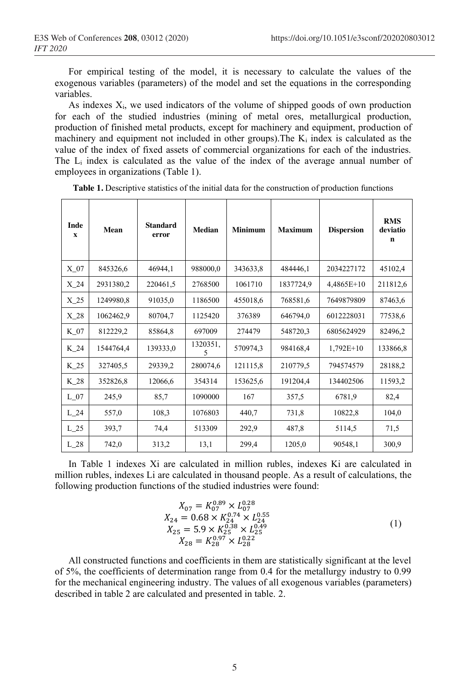For empirical testing of the model, it is necessary to calculate the values of the exogenous variables (parameters) of the model and set the equations in the corresponding variables.

As indexes  $X_i$ , we used indicators of the volume of shipped goods of own production for each of the studied industries (mining of metal ores, metallurgical production, production of finished metal products, except for machinery and equipment, production of machinery and equipment not included in other groups). The  $K_i$  index is calculated as the value of the index of fixed assets of commercial organizations for each of the industries. The Li index is calculated as the value of the index of the average annual number of employees in organizations (Table 1).

| <b>Inde</b><br>X | Mean      | <b>Standard</b><br>error | <b>Median</b> | <b>Minimum</b> | <b>Maximum</b> | <b>Dispersion</b> | <b>RMS</b><br>deviatio<br>n |
|------------------|-----------|--------------------------|---------------|----------------|----------------|-------------------|-----------------------------|
| $X_0$            | 845326,6  | 46944,1                  | 988000,0      | 343633,8       | 484446,1       | 2034227172        | 45102,4                     |
| $X_24$           | 2931380,2 | 220461,5                 | 2768500       | 1061710        | 1837724,9      | 4,4865E+10        | 211812,6                    |
| $X_25$           | 1249980,8 | 91035,0                  | 1186500       | 455018,6       | 768581,6       | 7649879809        | 87463,6                     |
| $X_28$           | 1062462,9 | 80704,7                  | 1125420       | 376389         | 646794,0       | 6012228031        | 77538,6                     |
| $K_{07}$         | 812229,2  | 85864,8                  | 697009        | 274479         | 548720,3       | 6805624929        | 82496,2                     |
| $K_2$ 24         | 1544764,4 | 139333,0                 | 1320351,<br>5 | 570974,3       | 984168,4       | $1,792E+10$       | 133866,8                    |
| $K_{25}$         | 327405,5  | 29339,2                  | 280074,6      | 121115,8       | 210779,5       | 794574579         | 28188,2                     |
| K_28             | 352826,8  | 12066,6                  | 354314        | 153625,6       | 191204,4       | 134402506         | 11593,2                     |
| $L_07$           | 245,9     | 85,7                     | 1090000       | 167            | 357,5          | 6781,9            | 82,4                        |
| $L_{24}$         | 557,0     | 108,3                    | 1076803       | 440,7          | 731,8          | 10822,8           | 104,0                       |
| $L_{25}$         | 393,7     | 74,4                     | 513309        | 292,9          | 487,8          | 5114,5            | 71,5                        |
| $L_{28}$         | 742,0     | 313,2                    | 13,1          | 299.4          | 1205,0         | 90548,1           | 300,9                       |

Table 1. Descriptive statistics of the initial data for the construction of production functions

In Table 1 indexes Xi are calculated in million rubles, indexes Ki are calculated in million rubles, indexes Li are calculated in thousand people. As a result of calculations, the following production functions of the studied industries were found:

$$
X_{07} = K_{07}^{0.99} \times L_{07}^{0.28}
$$
  
\n
$$
X_{24} = 0.68 \times K_{24}^{0.74} \times L_{24}^{0.55}
$$
  
\n
$$
X_{25} = 5.9 \times K_{25}^{0.38} \times L_{25}^{0.49}
$$
  
\n
$$
X_{28} = K_{28}^{0.97} \times L_{28}^{0.22}
$$
\n(1)

All constructed functions and coefficients in them are statistically significant at the level of 5%, the coefficients of determination range from 0.4 for the metallurgy industry to 0.99 for the mechanical engineering industry. The values of all exogenous variables (parameters) described in table 2 are calculated and presented in table. 2.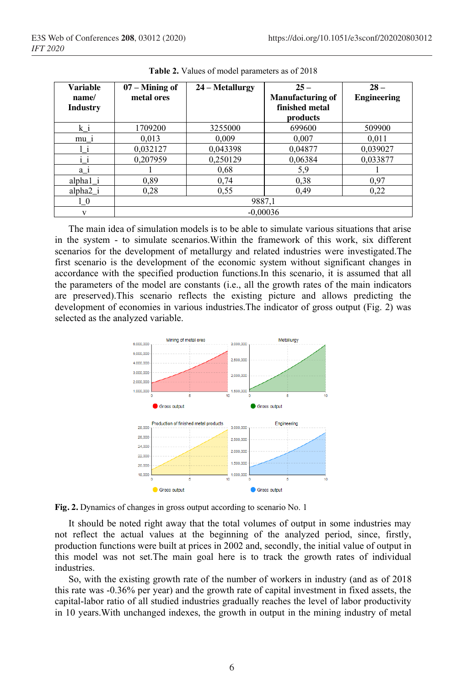| <b>Variable</b>      | $07 -$ Mining of | 24 – Metallurgy | $25 -$                  | $28 -$             |  |  |  |
|----------------------|------------------|-----------------|-------------------------|--------------------|--|--|--|
| name/                | metal ores       |                 | <b>Manufacturing of</b> | <b>Engineering</b> |  |  |  |
| <b>Industry</b>      |                  |                 | finished metal          |                    |  |  |  |
|                      |                  |                 | products                |                    |  |  |  |
| k i                  | 1709200          | 3255000         | 699600                  | 509900             |  |  |  |
| $mu_1$               | 0,013            | 0,009           | 0,007                   | 0.011              |  |  |  |
| Ļi                   | 0,032127         | 0,043398        | 0,04877                 | 0,039027           |  |  |  |
| $i_i$                | 0,207959         | 0,250129        | 0,06384                 | 0,033877           |  |  |  |
| $a_i$                |                  | 0,68            | 5,9                     |                    |  |  |  |
| $alpha1_i$           | 0.89             | 0,74            | 0,38                    | 0,97               |  |  |  |
| alpha <sub>2</sub> i | 0.28             | 0.55            | 0,49                    | 0,22               |  |  |  |
| $1\overline{0}$      | 9887,1           |                 |                         |                    |  |  |  |
| V                    | $-0,00036$       |                 |                         |                    |  |  |  |

**Table 2.** Values of model parameters as of 2018

The main idea of simulation models is to be able to simulate various situations that arise in the system - to simulate scenarios.Within the framework of this work, six different scenarios for the development of metallurgy and related industries were investigated.The first scenario is the development of the economic system without significant changes in accordance with the specified production functions.In this scenario, it is assumed that all the parameters of the model are constants (i.e., all the growth rates of the main indicators are preserved).This scenario reflects the existing picture and allows predicting the development of economies in various industries.The indicator of gross output (Fig. 2) was selected as the analyzed variable.



**Fig. 2.** Dynamics of changes in gross output according to scenario No. 1

It should be noted right away that the total volumes of output in some industries may not reflect the actual values at the beginning of the analyzed period, since, firstly, production functions were built at prices in 2002 and, secondly, the initial value of output in this model was not set.The main goal here is to track the growth rates of individual industries.

So, with the existing growth rate of the number of workers in industry (and as of 2018 this rate was -0.36% per year) and the growth rate of capital investment in fixed assets, the capital-labor ratio of all studied industries gradually reaches the level of labor productivity in 10 years.With unchanged indexes, the growth in output in the mining industry of metal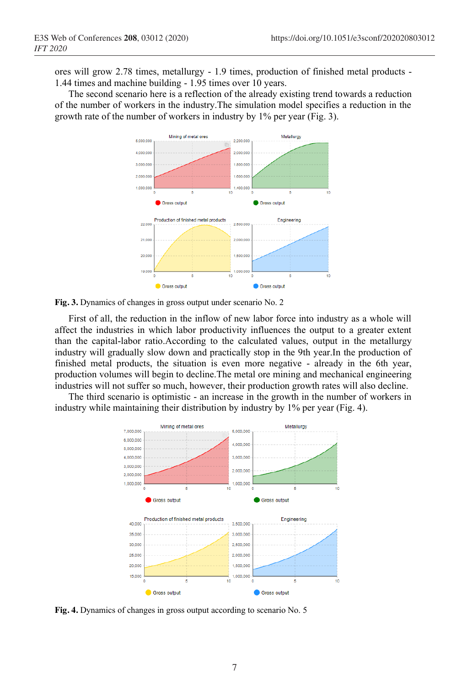ores will grow 2.78 times, metallurgy - 1.9 times, production of finished metal products - 1.44 times and machine building - 1.95 times over 10 years.

The second scenario here is a reflection of the already existing trend towards a reduction of the number of workers in the industry.The simulation model specifies a reduction in the growth rate of the number of workers in industry by 1% per year (Fig. 3).



**Fig. 3.** Dynamics of changes in gross output under scenario No. 2

First of all, the reduction in the inflow of new labor force into industry as a whole will affect the industries in which labor productivity influences the output to a greater extent than the capital-labor ratio.According to the calculated values, output in the metallurgy industry will gradually slow down and practically stop in the 9th year.In the production of finished metal products, the situation is even more negative - already in the 6th year, production volumes will begin to decline.The metal ore mining and mechanical engineering industries will not suffer so much, however, their production growth rates will also decline.

The third scenario is optimistic - an increase in the growth in the number of workers in industry while maintaining their distribution by industry by 1% per year (Fig. 4).



**Fig. 4.** Dynamics of changes in gross output according to scenario No. 5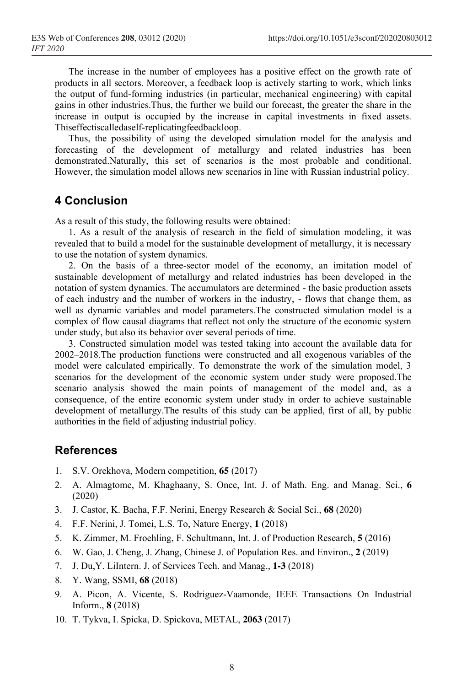The increase in the number of employees has a positive effect on the growth rate of products in all sectors. Moreover, a feedback loop is actively starting to work, which links the output of fund-forming industries (in particular, mechanical engineering) with capital gains in other industries.Thus, the further we build our forecast, the greater the share in the increase in output is occupied by the increase in capital investments in fixed assets. Thiseffectiscalledaself-replicatingfeedbackloop.

Thus, the possibility of using the developed simulation model for the analysis and forecasting of the development of metallurgy and related industries has been demonstrated.Naturally, this set of scenarios is the most probable and conditional. However, the simulation model allows new scenarios in line with Russian industrial policy.

# **4 Conclusion**

As a result of this study, the following results were obtained:

1. As a result of the analysis of research in the field of simulation modeling, it was revealed that to build a model for the sustainable development of metallurgy, it is necessary to use the notation of system dynamics.

2. On the basis of a three-sector model of the economy, an imitation model of sustainable development of metallurgy and related industries has been developed in the notation of system dynamics. The accumulators are determined - the basic production assets of each industry and the number of workers in the industry, - flows that change them, as well as dynamic variables and model parameters.The constructed simulation model is a complex of flow causal diagrams that reflect not only the structure of the economic system under study, but also its behavior over several periods of time.

3. Constructed simulation model was tested taking into account the available data for 2002–2018.The production functions were constructed and all exogenous variables of the model were calculated empirically. To demonstrate the work of the simulation model, 3 scenarios for the development of the economic system under study were proposed.The scenario analysis showed the main points of management of the model and, as a consequence, of the entire economic system under study in order to achieve sustainable development of metallurgy.The results of this study can be applied, first of all, by public authorities in the field of adjusting industrial policy.

### **References**

- 1. S.V. Orekhova, Modern competition, **65** (2017)
- 2. A. Almagtome, M. Khaghaany, S. Once, Int. J. of Math. Eng. and Manag. Sci., **6** (2020)
- 3. J. Castor, K. Bacha, F.F. Nerini, Energy Research & Social Sci., **68** (2020)
- 4. F.F. Nerini, J. Tomei, L.S. To, Nature Energy, **1** (2018)
- 5. K. Zimmer, M. Froehling, F. Schultmann, Int. J. of Production Research, **5** (2016)
- 6. W. Gao, J. Cheng, J. Zhang, Chinese J. of Population Res. and Environ., **2** (2019)
- 7. J. Du,Y. LiIntern. J. of Services Tech. and Manag., **1-3** (2018)
- 8. Y. Wang, SSMI, **68** (2018)
- 9. A. Picon, A. Vicente, S. Rodriguez-Vaamonde, IEEE Transactions On Industrial Inform., **8** (2018)
- 10. T. Tykva, I. Spicka, D. Spickova, METAL, **2063** (2017)